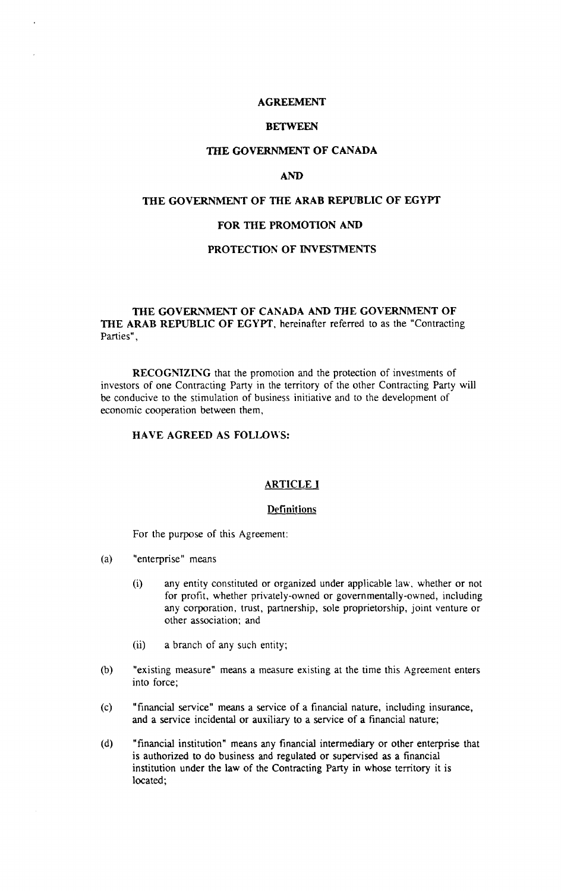#### AGREEMENT

#### BETWEEN

### THE GOVERNMENT OF CANADA

#### AND

#### THE GOVERNMENT OF THE ARAB REPUBLIC OF EGYPT

# FOR THE PROMOTION AND

#### PROTECTION OF INVESTMENTS

## THE GOVERNMENT OF CANADA AND THE GOVERNMENT OF THE ARAB REPUBLIC OF EGYPT, hereinafter referred to as the "Contracting Parties",

RECOGNIZING that the promotion and the protection of investments of investors of one Contracting Party in the territory of the other Contracting Party will be conducive to the stimulation of business initiative and to the development of economic cooperation between them,

### HAVE AGREED AS FOLLOWS:

#### ARTICLE I

#### **Definitions**

For the purpose of this Agreement:

- (a) "enterprise" means
	- (i) any entity constituted or organized under applicable law, whether or not for profit, whether privately-owned or governmentally-owned, including any corporation, trust, partnership, sole proprietorship, joint venture or other association; and
	- (ii) a branch of any such entity;
- (b) "existing measure" means a measure existing at the time this Agreement enters into force;
- (c) "financial service" means a service of a financial nature, including insurance, and a service incidental or auxiliary to a service of a financial nature;
- (d) "financial institution" means any financial intermediary or other enterprise that is authorized to do business and regulated or supervised as a financial institution under the law of the Contracting Party in whose territory it is located;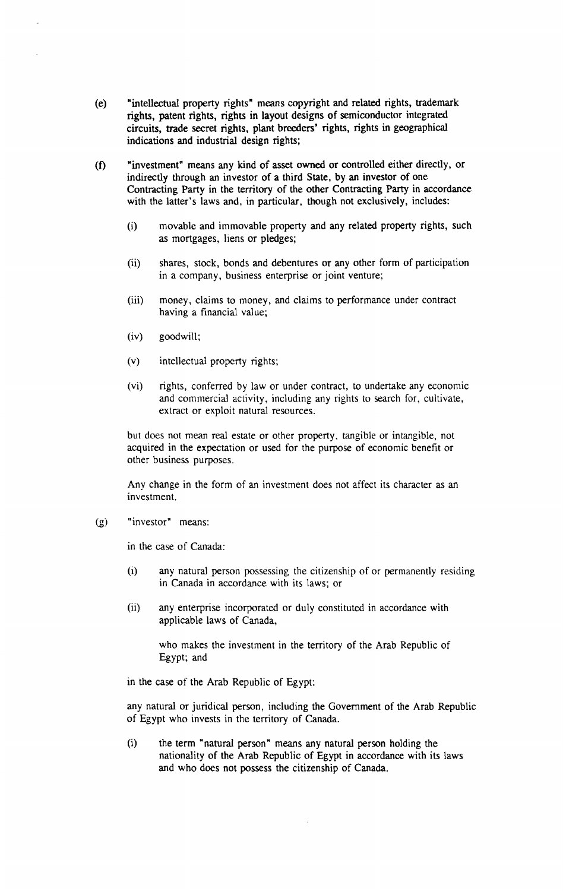- (e) "intellectual property rights" means copyright and related rights, trademark rights, patent rights, rights in layout designs of semiconductor integrated circuits, trade secret rights, plant breeders' rights, rights in geographical indications and industrial design rights;
- (f) "investment" means any kind of asset owned or controlled either directly, or indirectly through an investor of a third State, by an investor of one Contracting Party in the territory of the other Contracting Party in accordance with the latter's laws and, in particular, though not exclusively, includes:
	- (i) movable and immovable property and any related property rights, such as mortgages, liens or pledges;
	- (ii) shares, stock, bonds and debentures or any other form of participation in a company, business enterprise or joint venture;
	- (iii) money, claims to money, and claims to performance under contract having a financial value;
	- (iv) goodwill;
	- (v) intellectual property rights;
	- (vi) rights, conferred by law or under contract, to undertake any economic and commercial activity, including any rights to search for, cultivate, extract or exploit natural resources.

but does not mean real estate or other property, tangible or intangible, not acquired in the expectation or used for the purpose of economic benefit or other business purposes.

Any change in the form of an investment does not affect its character as an investment.

(g) "investor" means:

in the case of Canada:

- (i) any natural person possessing the citizenship of or permanently residing in Canada in accordance with its laws; or
- (ii) any enterprise incorporated or duly constituted in accordance with applicable laws of Canada,

who makes the investment in the territory of the Arab Republic of Egypt; and

in the case of the Arab Republic of Egypt:

any natural or juridical person, including the Government of the Arab Republic of Egypt who invests in the territory of Canada.

(i) the term "natural person" means any natural person holding the nationality of the Arab Republic of Egypt in accordance with its laws and who does not possess the citizenship of Canada.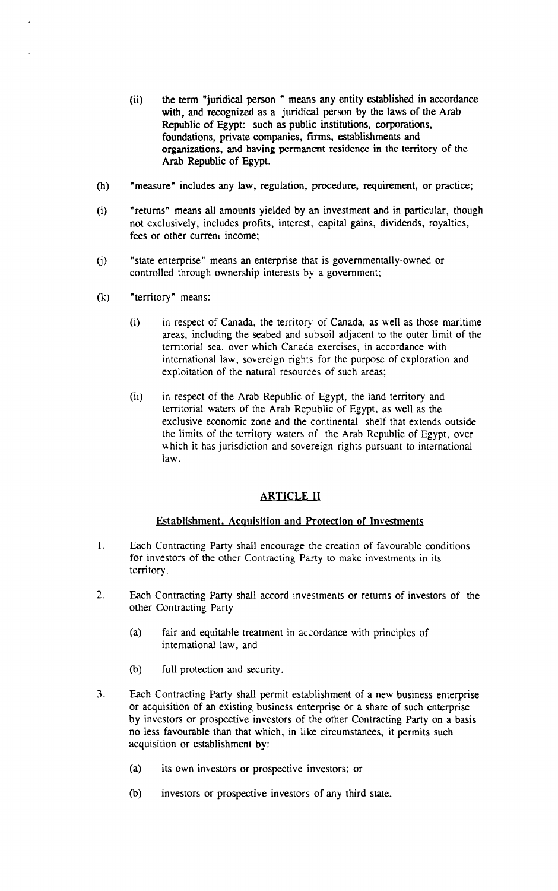- (ii) the term "juridical person " means any entity established in accordance with, and recognized as a juridical person by the laws of the Arab Republic of Egypt: such as public institutions, corporations, foundations, private companies, finns, establishments and organizations, and having permanent residence in the territory of the Arab Republic of Egypt.
- (h) "measure" includes any law, regulation, procedure, requirement, or practice;
- (i) "returns" means all amounts yielded by an investment and in particular, though not exclusively, includes profits, interest, capital gains, dividends, royalties, fees or other current income;
- (j) "state enterprise" means an enterprise that is governmentally-owned or controlled through ownership interests by a government;
- (k) "territory" means:
	- (i) in respect of Canada, the territory of Canada, as well as those maritime areas, including the seabed and subsoil adjacent to the outer limit of the territorial sea, over which Canada exercises, in accordance with international law, sovereign rights for the purpose of exploration and exploitation of the natural resources of such areas;
	- (ii) in respect of the Arab Republic of Egypt, the land territory and territorial waters of the Arab Republic of Egypt, as well as the exclusive economic zone and the continental shelf that extends outside the limits of the territory waters of the Arab Republic of Egypt, over which it has jurisdiction and sovereign rights pursuant to international law.

# ARTICLE **II**

# Establishment, Acguisition and Protection of Investments

- 1. Each Contracting Party shall encourage the creation of favourable conditions for investors of the other Contracting Party to make investments in its territory .
- 2. Each Contracting Party shall accord investments or returns of investors of the other Contracting Party
	- (a) fair and equitable treatment in accordance with principles of international law, and
	- (b) full protection and security.
- 3. Each Contracting Party shall permit establishment of a new business enterprise or acquisition of an existing business enterprise or a share of such enterprise by investors or prospective investors of the other Contracting Party on a basis no less favourable than that which, in like circumstances, it permits such acquisition or establishment by:
	- (a) its own investors or prospective investors; or
	- (b) investors or prospective investors of any third state.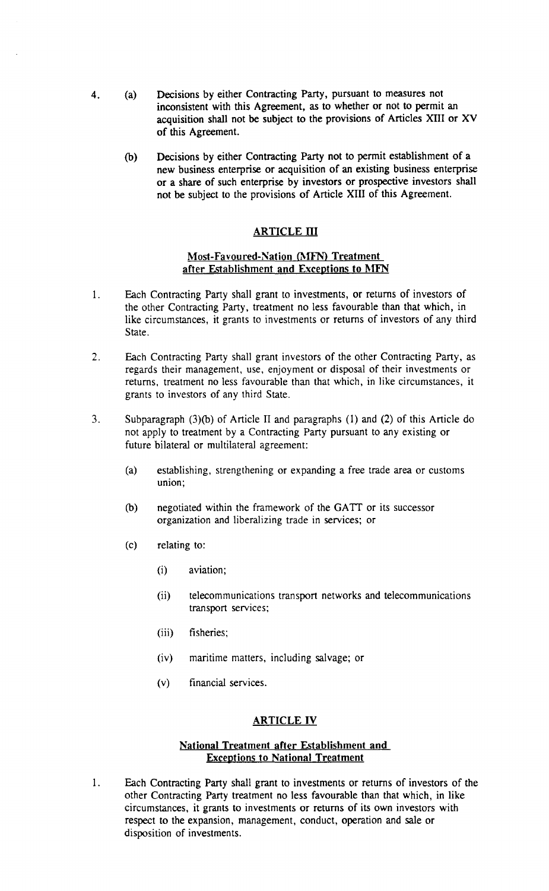- 4. (a) Decisions by either Contracting Party, pursuant to measures not inconsistent with this Agreement, as to whether or not to permit an acquisition shall not be subject to the provisions of Articles XIII or XV of this Agreement.
	- (b) Decisions by either Contracting Party not to permit establishment of a new business enterprise or acquisition of an existing business enterprise or a share of such enterprise by investors or prospective investors shall not be subject to the provisions of Article XIII of this Agreement.

# ARTICLE **m**

### Most-Favoured-Nation (MFN) Treatment after Establishment and Exceptions to MFN

- I. Each Contracting Party shall grant to investments, or returns of investors of the other Contracting Party, treatment no less favourable than that which, in like circumstances, it grants to investments or returns of investors of any third State.
- 2. Each Contracting Party shall grant investors of the other Contracting Party, as regards their management, use, enjoyment or disposal of their investments or returns, treatment no less favourable than that which, in like circumstances, it grants to investors of any third State.
- 3. Subparagraph (3)(b) of Article II and paragraphs (1) and (2) of this Article do not apply to treatment by a Contracting Party pursuant to any existing or future bilateral or multilateral agreement:
	- (a) establishing, strengthening or expanding a free trade area or customs union;
	- (b) negotiated within the framework of the GAIT or its successor organization and liberalizing trade in services; or
	- (c) relating to:
		- (i) aviation;
		- (ii) telecommunications transport networks and telecommunications transport services;
		- (iii) fisheries;
		- (iv) maritime matters, including salvage; or
		- (v) financial services.

# ARTICLE **IV**

### National Treatment after Establishment and Exceptions to National Treatment

I. Each Contracting Party shall grant to investments or returns of investors of the other Contracting Party treatment no less favourable than that which, in like circumstances, it grants to investments or returns of its own investors with respect to the expansion, management, conduct, operation and sale or disposition of investments.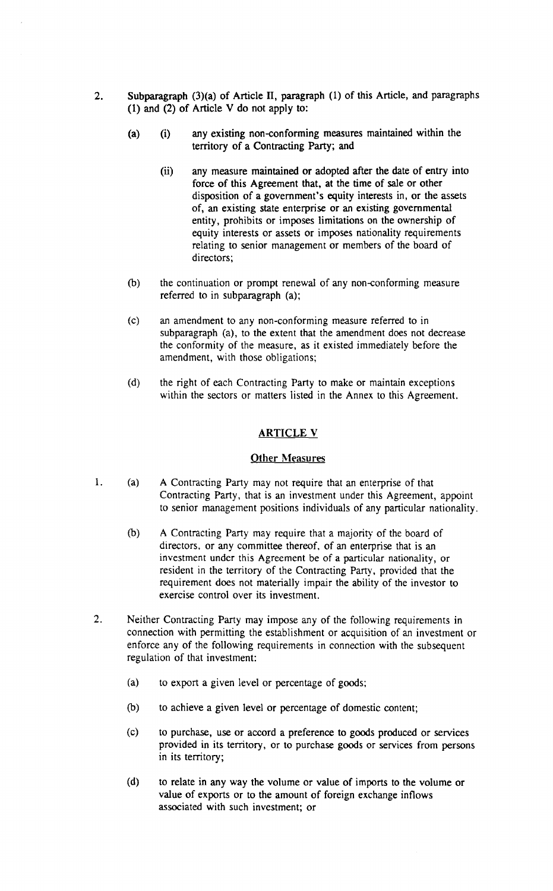- 2. Subparagraph (3)(a) of Article II, paragraph (1) of this Article, and paragraphs (1) and (2) of Article V do not apply to:
	- (a) (i) any existing non-conforming measures maintained within the territory of a Contracting Party; and
		- (ii) any measure maintained or adopted after the date of entry into force of this Agreement that, at the time of sale or other disposition of a government's equity interests in, or the assets of, an existing state enterprise or an existing governmental entity, prohibits or imposes limitations on the ownership of equity interests or assets or imposes nationality requirements relating to senior management or members of the board of directors;
	- (b) the continuation or prompt renewal of any non-conforming measure referred to in subparagraph (a);
	- (c) an amendment to any non-conforming measure referred to in subparagraph (a), to the extent that the amendment does not decrease the conformity of the measure, as it existed immediately before the amendment, with those obligations;
	- (d) the right of each Contracting Party to make or maintain exceptions within the sectors or matters listed in the Annex to this Agreement.

## ARTICLE V

### Other Measures

- 1. (a) A Contracting Party may not require that an enterprise of that Contracting Party, that is an investment under this Agreement, appoint to senior management positions individuals of any particular nationality.
	- (b) A Contracting Party may require that a majority of the board of directors. or any committee thereof, of an enterprise that is an investment under this Agreement be of a particular nationality, or resident in the territory of the Contracting Party, provided that the requirement does not materially impair the ability of the investor to exercise control over its investment.
- 2. Neither Contracting Party may impose any of the following requirements in connection with permitting the establishment or acquisition of an investment or enforce any of the following requirements in connection with the subsequent regulation of that investment:
	- (a) to export a given level or percentage of goods;
	- (b) to achieve a given level or percentage of domestic content;
	- (c) to purchase, use or accord a preference to goods produced or services provided in its territory, or to purchase goods or services from persons in its territory;
	- (d) to relate in any way the volume or value of imports to the volume or value of exports or to the amount of foreign exchange inflows associated with such investment; or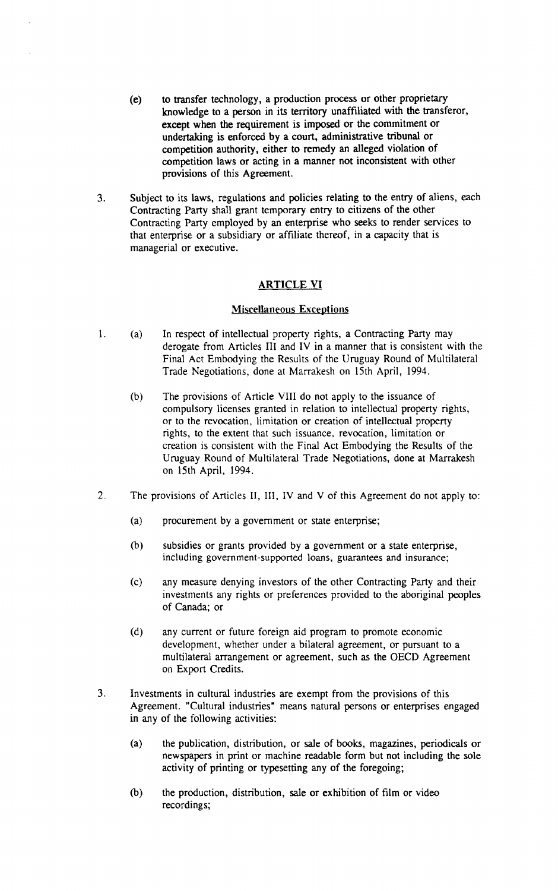- (e) to transfer technology, a production process or other proprietary knowledge to a person in its territory unaffiliated with the transferor, except when the requirement is imposed or the commitment or undertaking is enforced by a court, administrative tribunal or competition authority, either to remedy an alleged violation of competition laws or acting in a manner not inconsistent with other provisions of this Agreement.
- 3. Subject to its laws, regulations and policies relating to the entry of aliens, each Contracting Party shall grant temporary entry to citizens of the other Contracting Party employed by an enterprise who seeks to render services to that enterprise or a subsidiary or affiliate thereof, in a capacity that is managerial or executive.

# ARTICLE VI

### Miscellaneous Exceptions

- 1. (a) In respect of intellectual property rights, a Contracting Party may derogate from Articles III and IV in a manner that is consistent with the Final Act Embodying the Results of the Uruguay Round of Multilateral Trade Negotiations, done at Marrakesh on 15th April, 1994.
	- (b) The provisions of Article VIII do not apply to the issuance of compulsory licenses granted in relation to intellectual property rights, or to the revocation, limitation or creation of intellectual property rights, to the extent that such issuance, revocation, limitation or creation is consistent with the Final Act Embodying the Results of the Uruguay Round of Multilateral Trade Negotiations, done at Marrakesh on 15th April, 1994.
- 2. The provisions of Articles II, III, IV and V of this Agreement do not apply to:
	- (a) procurement by a government or state enterprise;
	- (b) subsidies or grants provided by a government or a state enterprise, including government-supported loans, guarantees and insurance;
	- (c) any measure denying investors of the other Contracting Party and their investments any rights or preferences provided to the aboriginal peoples of Canada; or
	- (d) any current or future foreign aid program to promote economic development, whether under a bilateral agreement, or pursuant to a multilateral arrangement or agreement, such as the OECD Agreement on Export Credits.
- 3. Investments in cultural industries are exempt from the provisions of this Agreement. "Cultural industries" means natural persons or enterprises engaged in any of the following activities:
	- (a) the publication, distribution, or sale of books, magazines, periodicals or newspapers in print or machine readable form but not including the sole activity of printing or typesetting any of the foregoing;
	- (b) the production, distribution, sale or exhibition of film or video recordings;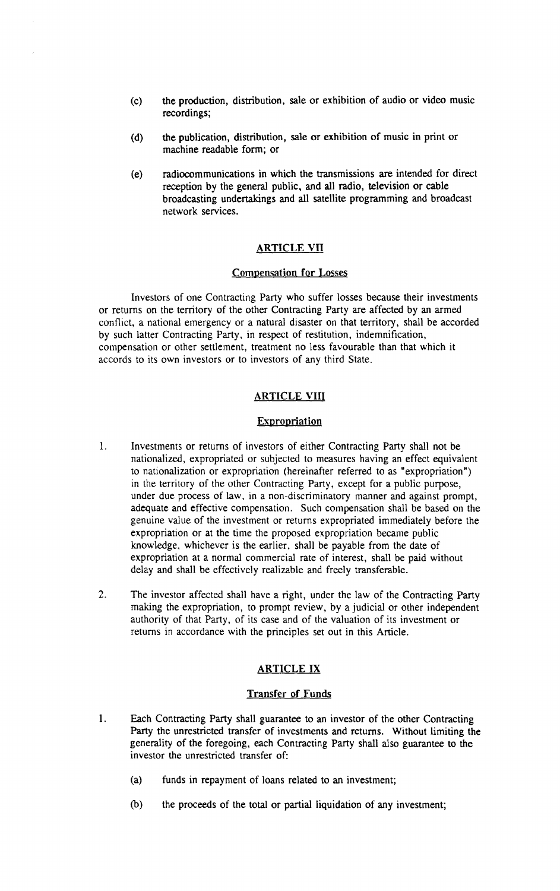- (c) the production, distribution, sale or exhibition of audio or video music recordings;
- (d) the publication, distribution, sale or exhibition of music in print or machine readable form; or
- (e) radiocommunications in which the transmissions are intended for direct reception by the general public, and all radio, television or cable broadcasting undertakings and all satellite programming and broadcast network services.

### **ARTICLE VII**

#### Compensation for Losses

Investors of one Contracting Party who suffer losses because their investments or returns on the territory of the other Contracting Party are affected by an armed conflict, a national emergency or a natural disaster on that territory, shall be accorded by such latter Contracting Party, in respect of restitution, indemnification, compensation or other settlement, treatment no less favourable than that which it accords to its own investors or to investors of any third State.

### ARTICLE VIII

#### **Expropriation**

- 1. Investments or returns of investors of either Contracting Party shall not be nationalized, expropriated or subjected to measures having an effect equivalent to nationalization or expropriation (hereinafter referred to as "expropriation") in the territory of the other Contracting Party, except for a public purpose, under due process of law. in a non-discriminatory manner and against prompt, adequate and effective compensation. Such compensation shall be based on the genuine value of the investment or returns expropriated immediately before the expropriation or at the time the proposed expropriation became public knowledge. whichever is the earlier. shall be payable from the date of expropriation at a normal commercial rate of interest, shall be paid without delay and shall be effectively realizable and freely transferable.
- 2. The investor affected shall have a right. under the law of the Contracting Party making the expropriation, to prompt review. by a judicial or other independent authority of that Party, of its case and of the valuation of its investment or returns in accordance with the principles set out in this Article.

### ARTICLE IX

### Transfer of Funds

- 1. Each Contracting Party shall guarantee to an investor of the other Contracting Party the unrestricted transfer of investments and returns. Without limiting the generality of the foregoing. each Contracting party shall also guarantee to the investor the unrestricted transfer of:
	- (a) funds in repayment of loans related to an investment;
	- (b) the proceeds of the total or partial liquidation of any investment;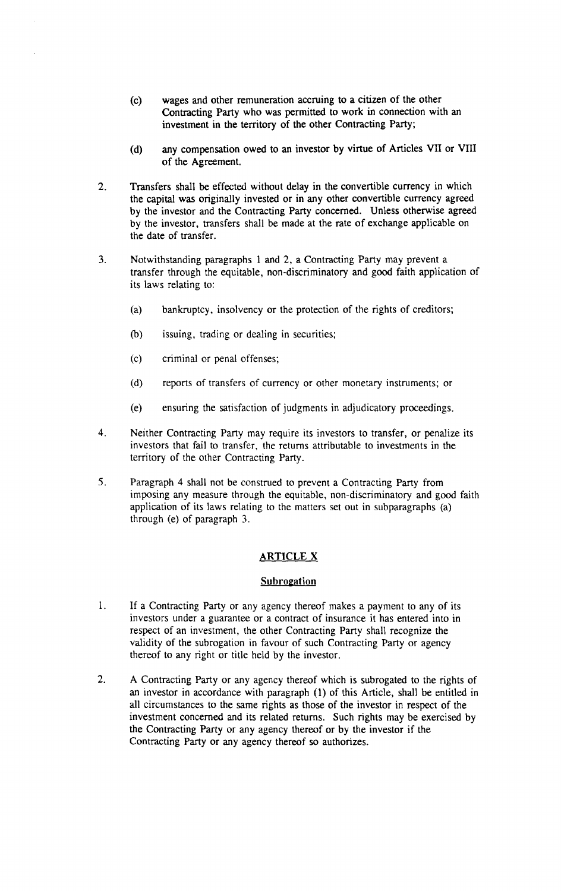- (c) wages and other remuneration accruing to a citizen of the other Contracting Party who was permitted to work in connection with an investment in the territory of the other Contracting Party;
- (d) any compensation owed to an investor by virtue of Articles VII or VIII of the Agreement.
- 2. Transfers shall be effected without delay in the convertible currency in which the capital was originally invested or in any other convertible currency agreed by the investor and the Contracting Party concerned. Unless otherwise agreed by the investor, transfers shall be made at the rate of exchange applicable on the date of transfer.
- 3. Notwithstanding paragraphs 1 and 2, a Contracting Party may prevent a transfer through the equitable, non-discriminatory and good faith application of its laws relating to:
	- (a) bankruptcy, insolvency or the protection of the rights of creditors;
	- (b) issuing, trading or dealing in securities;
	- (c) criminal or penal offenses;
	- (d) reports of transfers of currency or other monetary instruments; or
	- (e) ensuring the satisfaction of judgments in adjudicatory proceedings.
- 4. Neither Contracting Party may require its investors to transfer, or penalize its investors that fail to transfer, the returns attributable to investments in the territory of the other Contracting Party.
- 5. Paragraph 4 shall not be construed to prevent a Contracting Party from imposing any measure through the equitable, non-discriminatory and good faith application of its laws relating to the matters set out in subparagraphs (a) through (e) of paragraph 3.

# ARTICLE X

### Subrogation

- 1. If a Contracting party or any agency thereof makes a payment to any of its investors under a guarantee or a contract of insurance it has entered into in respect of an investment, the other Contracting Party shall recognize the validity of the subrogation in favour of such Contracting Party or agency thereof to any right or title held by the investor.
- 2. A Contracting Party or any agency thereof which is subrogated to the rights of an investor in accordance with paragraph (1) of this Article, shall be entitled in all circumstances to the same rights as those of the investor in respect of the investment concerned and its related returns. Such rights may be exercised by the Contracting Party or any agency thereof or by the investor if the Contracting Party or any agency thereof so authorizes.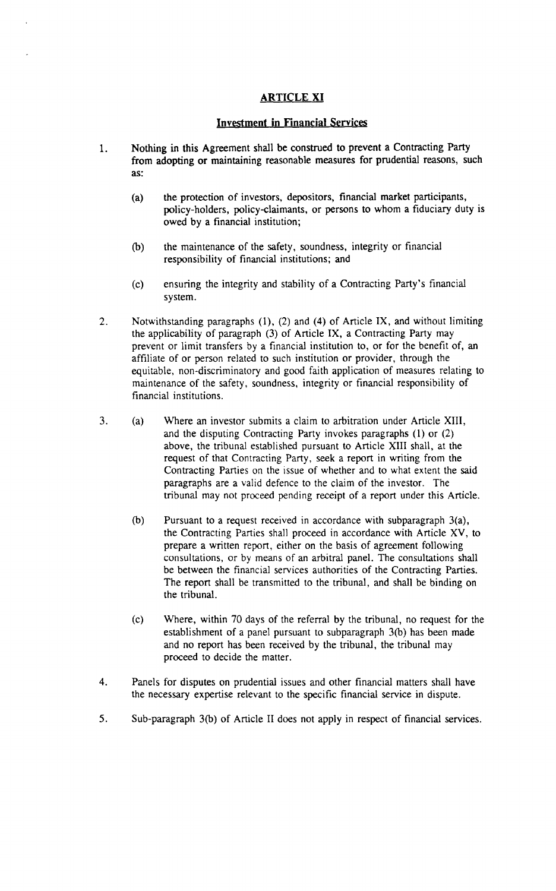## ARTICLE XI

### Investment **in** Financial Services

- 1. Nothing in this Agreement shall be construed to prevent a Contracting Party from adopting or maintaining reasonable measures for prudential reasons, such as:
	- (a) the protection of investors, depositors, financial market participants, policy-holders, policy-claimants, or persons to whom a fiduciary duty is owed by a financial institution;
	- (b) the maintenance of the safety, soundness, integrity or financial responsibility of financial institutions; and
	- (c) ensuring the integrity and stability of a Contracting Party's financial system.
- 2. Notwithstanding paragraphs (1), (2) and (4) of Article IX, and without limiting the applicability of paragraph (3) of Article IX, a Contracting Party may prevent or limit transfers by a financial institution to, or for the benefit of, an affiliate of or person related to such institution or provider, through the equitable, non-discriminatory and good faith application of measures relating to maintenance of the safety, soundness, integrity or financial responsibility of financial institutions.
- 3. (a) Where an investor submits a claim to arbitration under Article XIII, and the disputing Contracting Party invokes paragraphs (I) or (2) above, the tribunal established pursuant to Article XIII shall, at the request of that Contracting Party, seek a report in writing from the Contracting Parties on the issue of whether and to what extent the said paragraphs are a valid defence to the claim of the investor. The tribunal may not proceed pending receipt of a report under this Article.
	- (b) Pursuant to a request received in accordance with subparagraph 3(a), the Contracting Parties shall proceed in accordance with Article XV, to prepare a written report, either on the basis of agreement following consultations, or by means of an arbitral panel. The consultations shall be between the financial services authorities of the Contracting Parties. The report shall be transmitted to the tribunal, and shall be binding on the tribunal.
	- (c) Where, within 70 days of the referral by the tribunal, no request for the establishment of a panel pursuant to subparagraph 3(b) has been made and no report has been received by the tribunal, the tribunal may proceed to decide the matter.
- 4. Panels for disputes on prudential issues and other financial matters shall have the necessary expertise relevant to the specific financial service in dispute.
- 5. Sub-paragraph 3(b) of Article II does not apply in respect of financial services.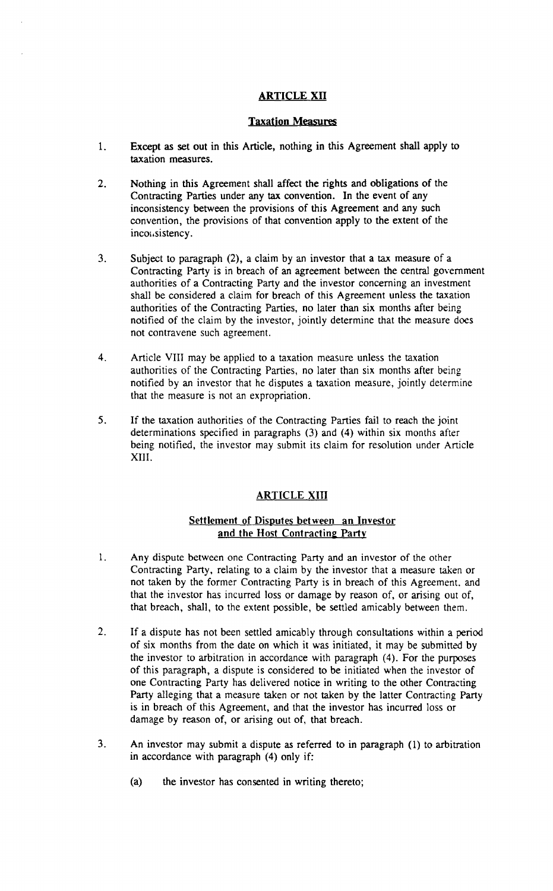# **ARTICLE XII**

## **Taxation Measures**

- 1. Except as set out in this Article, nothing in this Agreement shall apply to taxation measures.
- 2. Nothing in this Agreement shall affect the rights and obligations of the Contracting Parties under any tax convention. In the event of any inconsistency between the provisions of this Agreement and any such convention, the provisions of that convention apply to the extent of the incOl.sistency.
- 3. Subject to paragraph (2), a claim by an investor that a tax measure of a Contracting Party is in breach of an agreement between the central government authorities of a Contracting Party and the investor concerning an investment shall be considered a claim for breach of this Agreement unless the taxation authorities of the Contracting Parties, no later than six months after being notified of the claim by the investor, jointly determine that the measure does not contravene such agreement.
- 4. Article VIII may be applied to a taxation measure unless the taxation authorities of the Contracting Parties, no later than six months after being notified by an investor that he disputes a taxation measure, jointly determine that the measure is not an expropriation.
- 5. If the taxation authorities of the Contracting Parties fail to reach the joint determinations specified in paragraphs (3) and (4) within six months after being notified, the investor may submit its claim for resolution under Article XIII.

# ARTICLE XIII

## Settlement of Disputes between an Investor and the Host Contracting Party

- 1. Any dispute between one Contracting Party and an investor of the other Contracting Party, relating to a claim by the investor that a measure taken or not taken by the former Contracting Party is in breach of this Agreement. and that the investor has incurred loss or damage by reason of, or arising out of, that breach, shall, to the extent possible, be settled amicably between them.
- 2. If a dispute has not been settled amicably through consultations within a period of six months from the date on which it was initiated, it may be submitted by the investor to arbitration in accordance with paragraph (4). For the purposes of this paragraph, a dispute is considered to be initiated when the investor of one Contracting Party has delivered notice in writing to the other Contracting Party alleging that a measure taken or not taken by the latter Contracting Party is in breach of this Agreement, and that the investor has incurred loss or damage by reason of, or arising out of, that breach.
- 3. An investor may submit a dispute as referred to in paragraph (1) to arbitration in accordance with paragraph (4) only if:
	- (a) the investor has consented in writing thereto;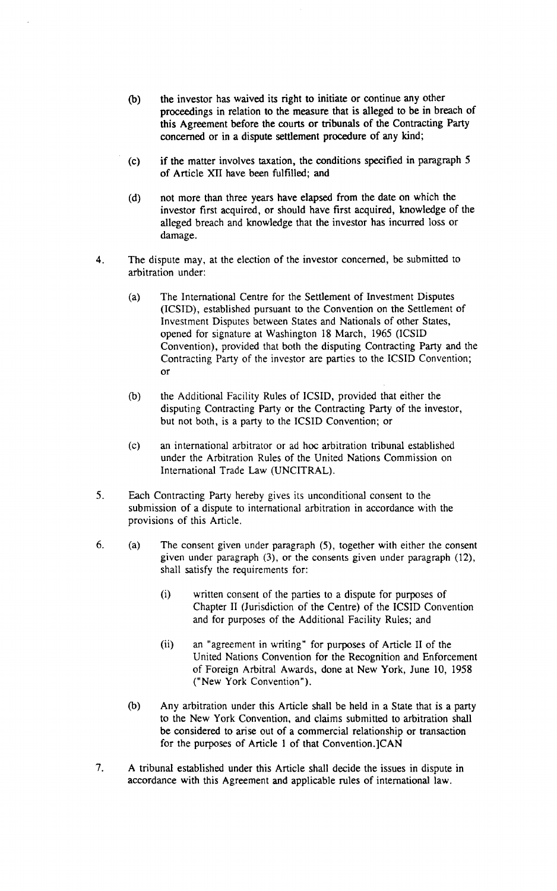- (b) the investor has waived its right to initiate or continue any other proceedings in relation to the measure that is alleged to be in breach of this Agreement before the courts or tribunals of the Contracting Party concerned or in a dispute settlement procedure of any kind;
- (c) if the matter involves taxation, the conditions specified in paragraph 5 of Article XII have been fulfilled; and
- (d) not more than three years have elapsed from the date on which the investor first acquired, or should have first acquired, knowledge of the alleged breach and knowledge that the investor has incurred loss or damage.
- 4. The dispute may, at the election of the investor concerned, be submitted to arbitration under:
	- (a) The International Centre for the Settlement of Investment Disputes (lCSID), established pursuant to the Convention on the Settlement of Investment Disputes between States and Nationals of other States, opened for signature at Washington 18 March, 1965 (ICSID Convention), provided that both the disputing Contracting Party and the Contracting Party of the investor are parties to the ICSID Convention; or
	- (b) the Additional Facility Rules of ICSID, provided that either the disputing Contracting Party or the Contracting Party of the investor, but not both, is a party to the ICSID Convention; or
	- (c) an international arbitrator or ad hoc arbitration tribunal established under the Arbitration Rules of the United Nations Commission on International Trade Law (UNCITRAL).
- 5. Each Contracting Party hereby gives its unconditional consent to the submission of a dispute to international arbitration in accordance with the provisions of this Article.
- 6. (a) The consent given under paragraph (5), together with either the consent given under paragraph (3), or the consents given under paragraph (12), shall satisfy the requirements for:
	- (i) written consent of the parties to a dispute for purposes of Chapter II (Jurisdiction of the Centre) of the ICSID Convention and for purposes of the Additional Facility Rules; and
	- (ii) an "agreement in writing" for purposes of Article II of the United Nations Convention for the Recognition and Enforcement of Foreign Arbitral Awards, done at New York, June 10, 1958 ("New York Convention").
	- (b) Any arbitration under this Article shall be held in a State that is a party to the New York Convention, and claims submitted to arbitration shall be considered to arise out of a commercial relationship or transaction for the purposes of Article 1 of that Convention.]CAN
- 7. A tribunal established under this Article shall decide the issues in dispute in accordance with this Agreement and applicable rules of international law.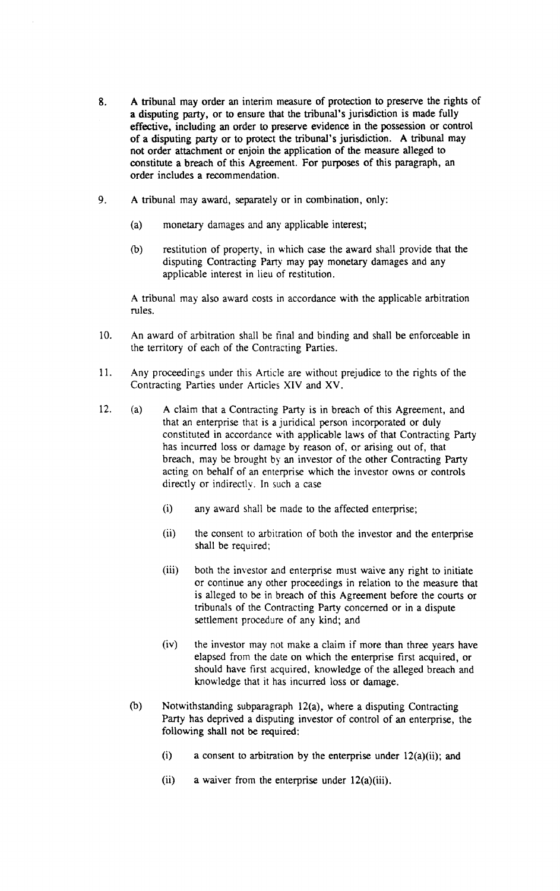- 8. A tribunal may order an interim measure of protection to preserve the rights of a disputing party, or to ensure that the tribunal's jurisdiction is made fully effective, including an order to preserve evidence in the possession or control of a disputing party or to protect the tribunal's jurisdiction. A tribunal may not order attachment or enjoin the application of the measure alleged to constitute a breach of this Agreement. For purposes of this paragraph, an order includes a recommendation.
- 9. A tribunal may award, separately or in combination, only:
	- (a) monetary damages and any applicable interest;
	- (b) restitution of property, in which case the award shall provide that the disputing Contracting Party may pay monetary damages and any applicable interest in lieu of restitution.

A tribunal may also award costs in accordance with the applicable arbitration rules.

- 10. An award of arbitration shall be final and binding and shall be enforceable in the territory of each of the Contracting Parties.
- 11. Any proceedings under this Article are without prejudice to the rights of the Contracting Parties under Articles XIV and XV.
- 12. (a) A claim that a Contracting Party is in breach of this Agreement, and that an enterprise that is a juridical person incorporated or duly constituted in accordance with applicable laws of that Contracting Party has incurred loss or damage by reason of, or arising out of, that breach, may be brought by an investor of the other Contracting party acting on behalf of an enterprise which the investor owns or controls directly or indirectly. In such a case
	- (i) any award shall be made to the affected enterprise;
	- (ii) the consent to arbitration of both the investor and the enterprise shall be required;
	- (iii) both the investor and enterprise must waive any right to initiate or continue any other proceedings in relation to the measure that is alleged to be in breach of this Agreement before the courts or tribunals of the Contracting Party concerned or in a dispute settlement procedure of any kind; and
	- (iv) the investor may not make a claim if more than three years have elapsed from the date on which the enterprise first acquired, or should have first acquired, knowledge of the alleged breach and knowledge that it has incurred loss or damage.
	- (b) Notwithstanding subparagraph 12(a), where a disputing Contracting Party has deprived a disputing investor of control of an enterprise, the following shall not be required:
		- (i) a consent to arbitration by the enterprise under  $12(a)(ii)$ ; and
		- (ii) a waiver from the enterprise under  $12(a)(iii)$ .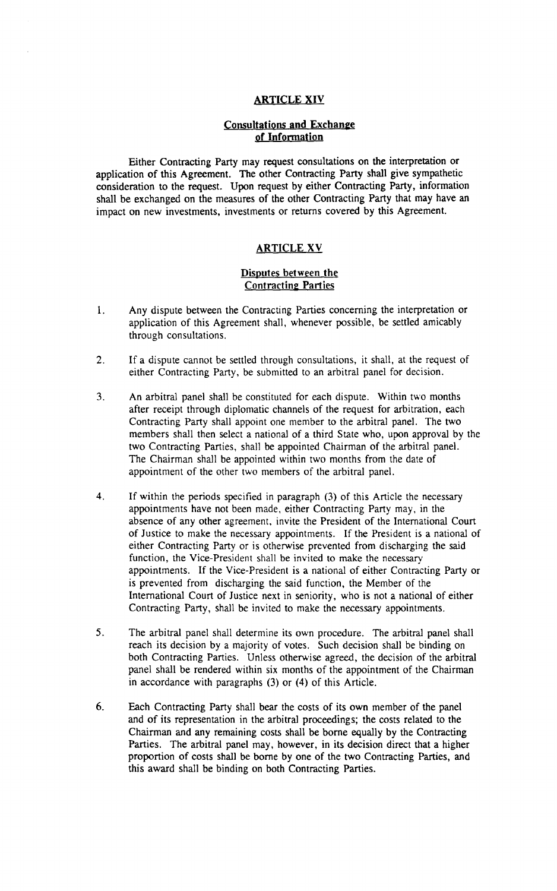### ARTICLE XIV

#### Consultations and Exchange of Information

Either Contracting Party may request consultations on the interpretation or application of this Agreement. The other Contracting Party shall give sympathetic consideration to the request. Upon request by either Contracting Party, information shall be exchanged on the measures of the other Contracting Party that may have an impact on new investments, investments or returns covered by this Agreement.

#### ARTICLE XV

#### Disputes between the **Contracting Parties**

- 1. Any dispute between the Contracting Parties concerning the interpretation or application of this Agreement shall, whenever possible, be settled amicably through consultations.
- 2. If a dispute cannot be settled through consultations, it shall, at the request of either Contracting Party, be submitted to an arbitral panel for decision.
- 3. An arbitral panel shall be constituted for each dispute. Within two months after receipt through diplomatic channels of the request for arbitration, each Contracting Party shall appoint one member to the arbitral panel. The two members shall then select a national of a third State who, upon approval by the two Contracting Parties, shall be appointed Chairman of the arbitral panel. The Chairman shall be appointed within two months from the date of appointment of the other two members of the arbitral panel.
- 4. If within the periods specified in paragraph (3) of this Article the necessary appointments have not been made, either Contracting Party may, in the absence of any other agreement, invite the President of the International Court of Justice to make the necessary appointments. If the President is a national of either Contracting Party or is otherwise prevented from discharging the said function, the Vice-President shal1 be invited to make the necessary appointments. If the Vice-President is a national of either Contracting Party or is prevented from discharging the said function, the Member of the International Court of Justice next in seniority, who is not a national of either Contracting Party, shall be invited to make the necessary appointments.
- 5. The arbitral panel shall determine its own procedure. The arbitral panel shall reach its decision by a majority of votes. Such decision shall be binding on both Contracting Parties. Unless otherwise agreed, the decision of the arbitral panel shall be rendered within six months of the appointment of the Chairman in accordance with paragraphs (3) or (4) of this Article.
- 6. Each Contracting Party shall bear the costs of its own member of the panel and of its representation in the arbitral proceedings; the costs related to the Chairman and any remaining costs shall be borne equally by the Contracting Parties. The arbitral panel may, however, in its decision direct that a higher proportion of costs shall be borne by one of the two Contracting Parties, and this award shall be binding on both Contracting Parties.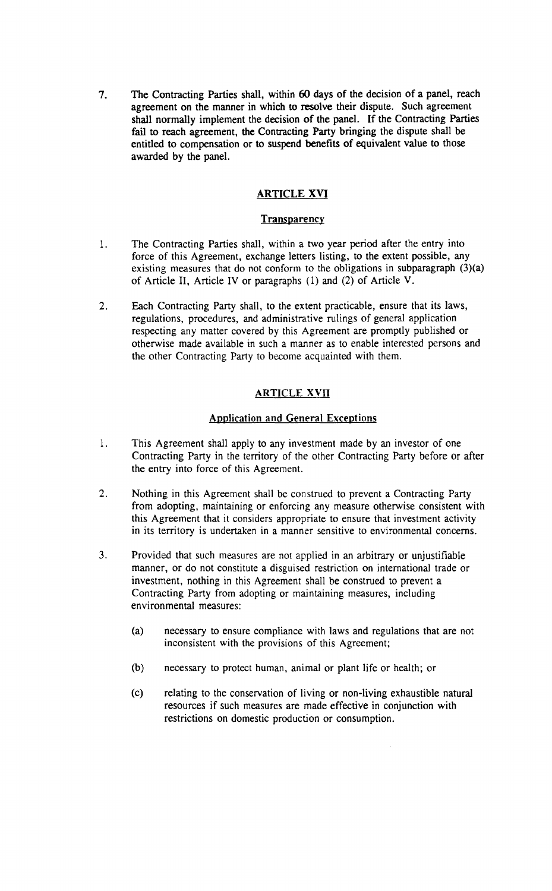7. The Contracting Parties shall, within 60 days of the decision of a panel, reach agreement on the manner in which to resolve their dispute. Such agreement shall normally implement the decision of the panel. If the Contracting Parties fail to reach agreement, the Contracting Party bringing the dispute shall be entitled to compensation or to suspend benefits of equivalent value to those awarded by the panel.

# ARTICLE XVI

## **Transparency**

- 1. The Contracting Parties shall, within a two year period after the entry into force of this Agreement, exchange letters listing, to the extent possible, any existing measures that do not conform to the obligations in subparagraph (3)(a) of Article II, Article IV or paragraphs (1) and (2) of Article V.
- 2. Each Contracting Party shall, to the extent practicable, ensure that its laws, regulations, procedures, and administrative rulings of general application respecting any matter covered by this Agreement are promptly published or otherwise made available in such a manner as to enable interested persons and the other Contracting Party to become acquainted with them.

# ARTICLE XVII

# Application and General Exceptions

- 1. This Agreement shall apply to any investment made by an investor of one Contracting Party in the territory of the other Contracting Party before or after the entry into force of this Agreement.
- 2. Nothing in this Agreement shall be construed to prevent a Contracting Party from adopting, maintaining or enforcing any measure otherwise consistent with this Agreement that it considers appropriate to ensure that investment activity in its territory is undertaken in a manner sensitive to environmental concerns.
- 3. Provided that such measures are not applied in an arbitrary or unjustifiable manner, or do not constitute a disguised restriction on international trade or investment, nothing in this Agreement shall be construed to prevent a Contracting Party from adopting or maintaining measures, including environmental measures:
	- (a) necessary to ensure compliance with laws and regulations that are not inconsistent with the provisions of this Agreement;
	- (b) necessary to protect human, animal or plant life or health; or
	- (c) relating to the conservation of living or non-living exhaustible natural resources if such measures are made effective in conjunction with restrictions on domestic production or consumption.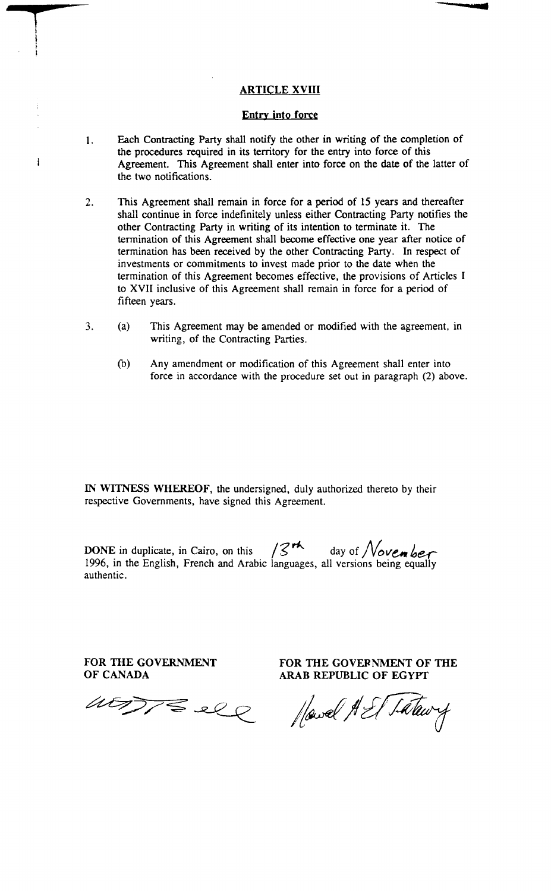#### ARTICLE XVIII

**•** 

#### Entry into force

- 1. Each Contracting Party shall notify the other in writing of the completion of the procedures required in its territory for the entry into force of this Agreement. This Agreement shall enter into force on the date of the latter of the two notifications.
- 2. This Agreement shall remain in force for a period of 15 years and thereafter shall continue in force indefinitely unless either Contracting Party notifies the other Contracting Party in writing of its intention to terminate it. The termination of this Agreement shall become effective one year after notice of termination has been received by the other Contracting Party. In respect of investments or commitments to invest made prior to the date when the termination of this Agreement becomes effective, the provisions of Articles I to XVII inclusive of this Agreement shall remain in force for a period of fifteen years.
- 3. (a) This Agreement may be amended or modified with the agreement, in writing, of the Contracting Parties.
	- (b) Any amendment or modification of this Agreement shall enter into force in accordance with the procedure set out in paragraph (2) above.

IN WITNESS WHEREOF, the undersigned, duly authorized thereto by their respective Governments, have signed this Agreement.

DONE in duplicate, in Cairo, on this  $/3^{th}$  day of November 1996, in the English, French and Arabic languages, all versions being equally authentic.

FOR THE GOVERNMENT OF CANADA

1

I

 $\mathbf{I}$ 

FOR THE GOVERNMENT OF THE ARAB REPUBLIC OF EGYYf

un see Newel AST stawy